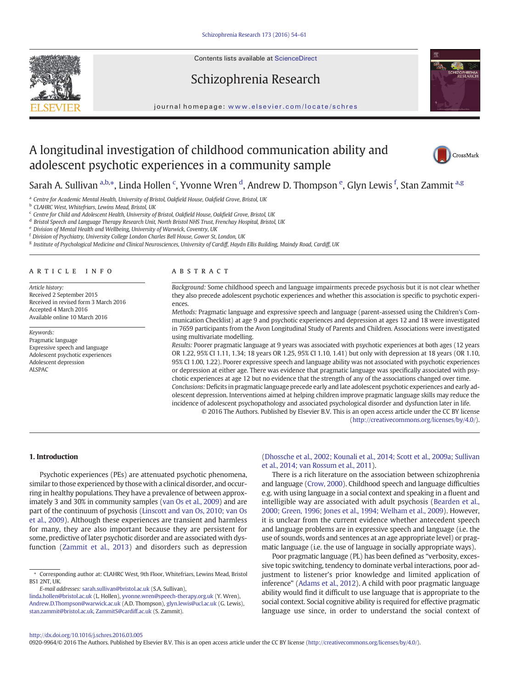Contents lists available at ScienceDirect







journal homepage: <www.elsevier.com/locate/schres>

# A longitudinal investigation of childhood communication ability and adolescent psychotic experiences in a community sample



Sarah A. Sullivan <sup>a,b,</sup>\*, Linda Hollen <sup>c</sup>, Yvonne Wren <sup>d</sup>, Andrew D. Thompson <sup>e</sup>, Glyn Lewis <sup>f</sup>, Stan Zammit <sup>a,g</sup>

<sup>a</sup> Centre for Academic Mental Health, University of Bristol, Oakfield House, Oakfield Grove, Bristol, UK

**b** CLAHRC West, Whitefriars, Lewins Mead, Bristol, UK

<sup>c</sup> Centre for Child and Adolescent Health, University of Bristol, Oakfield House, Oakfield Grove, Bristol, UK

<sup>d</sup> Bristol Speech and Language Therapy Research Unit, North Bristol NHS Trust, Frenchay Hospital, Bristol, UK

<sup>e</sup> Division of Mental Health and Wellbeing, University of Warwick, Coventry, UK

<sup>f</sup> Division of Psychiatry, University College London Charles Bell House, Gower St, London, UK

<sup>g</sup> Institute of Psychological Medicine and Clinical Neurosciences, University of Cardiff, Haydn Ellis Building, Maindy Road, Cardiff, UK

#### article info abstract

Article history: Received 2 September 2015 Received in revised form 3 March 2016 Accepted 4 March 2016 Available online 10 March 2016

Keywords: Pragmatic language Expressive speech and language Adolescent psychotic experiences Adolescent depression **ALSPAC** 

Background: Some childhood speech and language impairments precede psychosis but it is not clear whether they also precede adolescent psychotic experiences and whether this association is specific to psychotic experiences.

Methods: Pragmatic language and expressive speech and language (parent-assessed using the Children's Communication Checklist) at age 9 and psychotic experiences and depression at ages 12 and 18 were investigated in 7659 participants from the Avon Longitudinal Study of Parents and Children. Associations were investigated using multivariate modelling.

Results: Poorer pragmatic language at 9 years was associated with psychotic experiences at both ages (12 years OR 1.22, 95% CI 1.11, 1.34; 18 years OR 1.25, 95% CI 1.10, 1.41) but only with depression at 18 years (OR 1.10, 95% CI 1.00, 1.22). Poorer expressive speech and language ability was not associated with psychotic experiences or depression at either age. There was evidence that pragmatic language was specifically associated with psychotic experiences at age 12 but no evidence that the strength of any of the associations changed over time. Conclusions: Deficits in pragmatic language precede early and late adolescent psychotic experiences and early adolescent depression. Interventions aimed at helping children improve pragmatic language skills may reduce the incidence of adolescent psychopathology and associated psychological disorder and dysfunction later in life. © 2016 The Authors. Published by Elsevier B.V. This is an open access article under the CC BY license

[\(http://creativecommons.org/licenses/by/4.0/](http://creativecommons.org/licenses/by/4.0/)).

# 1. Introduction

Psychotic experiences (PEs) are attenuated psychotic phenomena, similar to those experienced by those with a clinical disorder, and occurring in healthy populations. They have a prevalence of between approximately 3 and 30% in community samples ([van Os et al., 2009](#page-6-0)) and are part of the continuum of psychosis ([Linscott and van Os, 2010; van Os](#page-6-0) [et al., 2009](#page-6-0)). Although these experiences are transient and harmless for many, they are also important because they are persistent for some, predictive of later psychotic disorder and are associated with dysfunction [\(Zammit et al., 2013\)](#page-7-0) and disorders such as depression

E-mail addresses: sarah.sullivan@bristol.ac.uk (S.A. Sullivan),

[\(Dhossche et al., 2002; Kounali et al., 2014; Scott et al., 2009a; Sullivan](#page-6-0) [et al., 2014; van Rossum et al., 2011\)](#page-6-0).

There is a rich literature on the association between schizophrenia and language [\(Crow, 2000\)](#page-6-0). Childhood speech and language difficulties e.g. with using language in a social context and speaking in a fluent and intelligible way are associated with adult psychosis ([Bearden et al.,](#page-6-0) [2000; Green, 1996; Jones et al., 1994; Welham et al., 2009\)](#page-6-0). However, it is unclear from the current evidence whether antecedent speech and language problems are in expressive speech and language (i.e. the use of sounds, words and sentences at an age appropriate level) or pragmatic language (i.e. the use of language in socially appropriate ways).

Poor pragmatic language (PL) has been defined as "verbosity, excessive topic switching, tendency to dominate verbal interactions, poor adjustment to listener's prior knowledge and limited application of inference" [\(Adams et al., 2012\)](#page-6-0). A child with poor pragmatic language ability would find it difficult to use language that is appropriate to the social context. Social cognitive ability is required for effective pragmatic language use since, in order to understand the social context of

#### <http://dx.doi.org/10.1016/j.schres.2016.03.005>

0920-9964/© 2016 The Authors. Published by Elsevier B.V. This is an open access article under the CC BY license [\(http://creativecommons.org/licenses/by/4.0/\)](http://creativecommons.org/licenses/by/4.0/).

<sup>⁎</sup> Corresponding author at: CLAHRC West, 9th Floor, Whitefriars, Lewins Mead, Bristol **BS1 2NT TIK.** 

linda.hollen@bristol.ac.uk (L. Hollen), yvonne.wren@speech-therapy.org.uk (Y. Wren), Andrew.D.Thompson@warwick.ac.uk (A.D. Thompson), glyn.lewis@ucl.ac.uk (G. Lewis), stan.zammit@bristol.ac.uk, [ZammitS@cardiff.ac.uk](mailto:ZammitS@cardiff.ac.uk) (S. Zammit).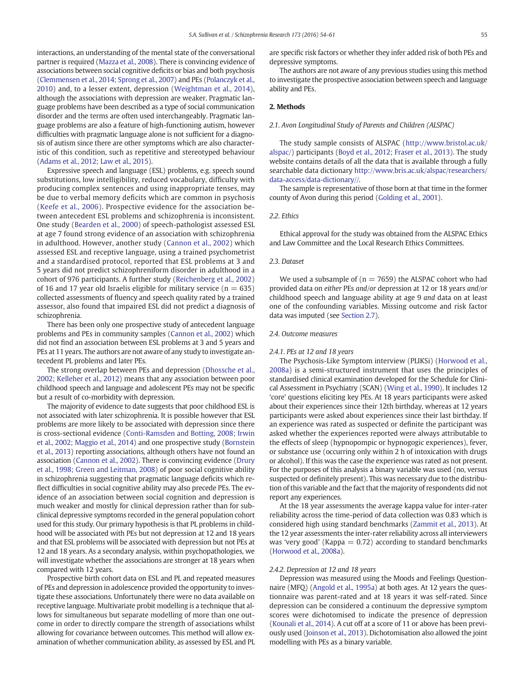interactions, an understanding of the mental state of the conversational partner is required ([Mazza et al., 2008](#page-6-0)). There is convincing evidence of associations between social cognitive deficits or bias and both psychosis [\(Clemmensen et al., 2014; Sprong et al., 2007\)](#page-6-0) and PEs [\(Polanczyk et al.,](#page-6-0) [2010\)](#page-6-0) and, to a lesser extent, depression ([Weightman et al., 2014](#page-7-0)), although the associations with depression are weaker. Pragmatic language problems have been described as a type of social communication disorder and the terms are often used interchangeably. Pragmatic language problems are also a feature of high-functioning autism, however difficulties with pragmatic language alone is not sufficient for a diagnosis of autism since there are other symptoms which are also characteristic of this condition, such as repetitive and stereotyped behaviour [\(Adams et al., 2012; Law et al., 2015\)](#page-6-0).

Expressive speech and language (ESL) problems, e.g. speech sound substitutions, low intelligibility, reduced vocabulary, difficulty with producing complex sentences and using inappropriate tenses, may be due to verbal memory deficits which are common in psychosis [\(Keefe et al., 2006\)](#page-6-0). Prospective evidence for the association between antecedent ESL problems and schizophrenia is inconsistent. One study ([Bearden et al., 2000](#page-6-0)) of speech-pathologist assessed ESL at age 7 found strong evidence of an association with schizophrenia in adulthood. However, another study [\(Cannon et al., 2002\)](#page-6-0) which assessed ESL and receptive language, using a trained psychometrist and a standardised protocol, reported that ESL problems at 3 and 5 years did not predict schizophreniform disorder in adulthood in a cohort of 976 participants. A further study ([Reichenberg et al., 2002](#page-6-0)) of 16 and 17 year old Israelis eligible for military service ( $n = 635$ ) collected assessments of fluency and speech quality rated by a trained assessor, also found that impaired ESL did not predict a diagnosis of schizophrenia.

There has been only one prospective study of antecedent language problems and PEs in community samples ([Cannon et al., 2002\)](#page-6-0) which did not find an association between ESL problems at 3 and 5 years and PEs at 11 years. The authors are not aware of any study to investigate antecedent PL problems and later PEs.

The strong overlap between PEs and depression ([Dhossche et al.,](#page-6-0) [2002; Kelleher et al., 2012](#page-6-0)) means that any association between poor childhood speech and language and adolescent PEs may not be specific but a result of co-morbidity with depression.

The majority of evidence to date suggests that poor childhood ESL is not associated with later schizophrenia. It is possible however that ESL problems are more likely to be associated with depression since there is cross-sectional evidence [\(Conti-Ramsden and Botting, 2008; Irwin](#page-6-0) [et al., 2002; Maggio et al., 2014\)](#page-6-0) and one prospective study [\(Bornstein](#page-6-0) [et al., 2013](#page-6-0)) reporting associations, although others have not found an association ([Cannon et al., 2002](#page-6-0)). There is convincing evidence ([Drury](#page-6-0) [et al., 1998; Green and Leitman, 2008\)](#page-6-0) of poor social cognitive ability in schizophrenia suggesting that pragmatic language deficits which reflect difficulties in social cognitive ability may also precede PEs. The evidence of an association between social cognition and depression is much weaker and mostly for clinical depression rather than for subclinical depressive symptoms recorded in the general population cohort used for this study. Our primary hypothesis is that PL problems in childhood will be associated with PEs but not depression at 12 and 18 years and that ESL problems will be associated with depression but not PEs at 12 and 18 years. As a secondary analysis, within psychopathologies, we will investigate whether the associations are stronger at 18 years when compared with 12 years.

Prospective birth cohort data on ESL and PL and repeated measures of PEs and depression in adolescence provided the opportunity to investigate these associations. Unfortunately there were no data available on receptive language. Multivariate probit modelling is a technique that allows for simultaneous but separate modelling of more than one outcome in order to directly compare the strength of associations whilst allowing for covariance between outcomes. This method will allow examination of whether communication ability, as assessed by ESL and PL

are specific risk factors or whether they infer added risk of both PEs and depressive symptoms.

The authors are not aware of any previous studies using this method to investigate the prospective association between speech and language ability and PEs.

# 2. Methods

# 2.1. Avon Longitudinal Study of Parents and Children (ALSPAC)

The study sample consists of ALSPAC [\(http://www.bristol.ac.uk/](http://www.bristol.ac.uk/alspac/) [alspac/\)](http://www.bristol.ac.uk/alspac/) participants [\(Boyd et al., 2012; Fraser et al., 2013\)](#page-6-0). The study website contains details of all the data that is available through a fully searchable data dictionary [http://www.bris.ac.uk/alspac/researchers/](http://www.bris.ac.uk/alspac/researchers/data-access/data-dictionary//) [data-access/data-dictionary//.](http://www.bris.ac.uk/alspac/researchers/data-access/data-dictionary//)

The sample is representative of those born at that time in the former county of Avon during this period [\(Golding et al., 2001\)](#page-6-0).

# 2.2. Ethics

Ethical approval for the study was obtained from the ALSPAC Ethics and Law Committee and the Local Research Ethics Committees.

#### 2.3. Dataset

We used a subsample of ( $n = 7659$ ) the ALSPAC cohort who had provided data on either PEs and/or depression at 12 or 18 years and/or childhood speech and language ability at age 9 and data on at least one of the confounding variables. Missing outcome and risk factor data was imputed (see [Section 2.7](#page-2-0)).

#### 2.4. Outcome measures

### 2.4.1. PEs at 12 and 18 years

The Psychosis-Like Symptom interview (PLIKSi) [\(Horwood et al.,](#page-6-0) [2008a](#page-6-0)) is a semi-structured instrument that uses the principles of standardised clinical examination developed for the Schedule for Clinical Assessment in Psychiatry (SCAN) [\(Wing et al., 1990](#page-7-0)). It includes 12 'core' questions eliciting key PEs. At 18 years participants were asked about their experiences since their 12th birthday, whereas at 12 years participants were asked about experiences since their last birthday. If an experience was rated as suspected or definite the participant was asked whether the experiences reported were always attributable to the effects of sleep (hypnopompic or hypnogogic experiences), fever, or substance use (occurring only within 2 h of intoxication with drugs or alcohol). If this was the case the experience was rated as not present. For the purposes of this analysis a binary variable was used (no, versus suspected or definitely present). This was necessary due to the distribution of this variable and the fact that the majority of respondents did not report any experiences.

At the 18 year assessments the average kappa value for inter-rater reliability across the time-period of data collection was 0.83 which is considered high using standard benchmarks [\(Zammit et al., 2013](#page-7-0)). At the 12 year assessments the inter-rater reliability across all interviewers was 'very good' (Kappa  $= 0.72$ ) according to standard benchmarks [\(Horwood et al., 2008a\)](#page-6-0).

#### 2.4.2. Depression at 12 and 18 years

Depression was measured using the Moods and Feelings Questionnaire (MFQ) ([Angold et al., 1995a\)](#page-6-0) at both ages. At 12 years the questionnaire was parent-rated and at 18 years it was self-rated. Since depression can be considered a continuum the depressive symptom scores were dichotomised to indicate the presence of depression [\(Kounali et al., 2014](#page-6-0)). A cut off at a score of 11 or above has been previously used [\(Joinson et al., 2013\)](#page-6-0). Dichotomisation also allowed the joint modelling with PEs as a binary variable.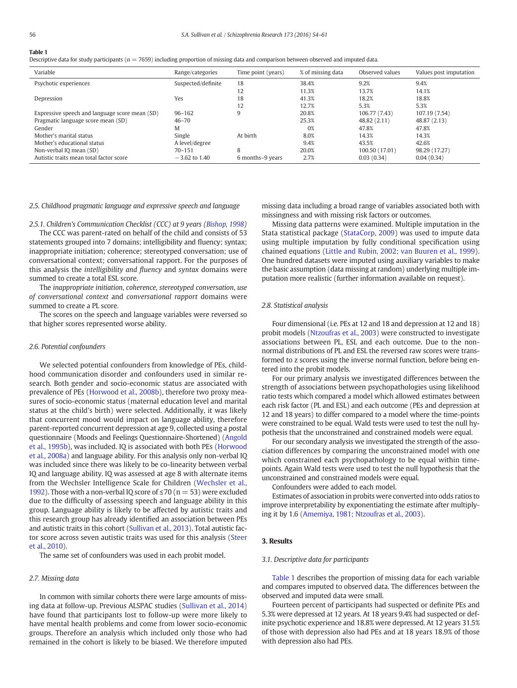# <span id="page-2-0"></span>Table 1

Descriptive data for study participants ( $n = 7659$ ) including proportion of missing data and comparison between observed and imputed data.

| Variable                                       | Range/categories   | Time point (years) | % of missing data | Observed values | Values post imputation |
|------------------------------------------------|--------------------|--------------------|-------------------|-----------------|------------------------|
| Psychotic experiences                          | Suspected/definite | 18                 | 38.4%             | 9.2%            | 9.4%                   |
|                                                |                    | 12                 | 11.3%             | 13.7%           | 14.1%                  |
| Depression                                     | Yes                | 18                 | 41.3%             | 18.2%           | 18.8%                  |
|                                                |                    | 12                 | 12.7%             | 5.3%            | 5.3%                   |
| Expressive speech and language score mean (SD) | $96 - 162$         | 9                  | 20.8%             | 106.77 (7.43)   | 107.19 (7.54)          |
| Pragmatic language score mean (SD)             | $46 - 70$          |                    | 25.3%             | 48.82 (2.11)    | 48.87 (2.13)           |
| Gender                                         | M                  |                    | 0%                | 47.8%           | 47.8%                  |
| Mother's marital status                        | Single             | At birth           | 8.0%              | 14.3%           | 14.3%                  |
| Mother's educational status                    | A level/degree     |                    | 9.4%              | 43.5%           | 42.6%                  |
| Non-verbal IQ mean (SD)                        | $70 - 151$         | 8                  | 20.0%             | 100.50 (17.01)  | 98.29 (17.27)          |
| Autistic traits mean total factor score        | $-3.62$ to 1.40    | 6 months–9 years   | 2.7%              | 0.03(0.34)      | 0.04(0.34)             |

#### 2.5. Childhood pragmatic language and expressive speech and language

2.5.1. Children's Communication Checklist (CCC) at 9 years ([Bishop, 1998](#page-6-0))

The CCC was parent-rated on behalf of the child and consists of 53 statements grouped into 7 domains; intelligibility and fluency; syntax; inappropriate initiation; coherence; stereotyped conversation; use of conversational context; conversational rapport. For the purposes of this analysis the intelligibility and fluency and syntax domains were summed to create a total ESL score.

The inappropriate initiation, coherence, stereotyped conversation, use of conversational context and conversational rapport domains were summed to create a PL score.

The scores on the speech and language variables were reversed so that higher scores represented worse ability.

# 2.6. Potential confounders

We selected potential confounders from knowledge of PEs, childhood communication disorder and confounders used in similar research. Both gender and socio-economic status are associated with prevalence of PEs ([Horwood et al., 2008b](#page-6-0)), therefore two proxy measures of socio-economic status (maternal education level and marital status at the child's birth) were selected. Additionally, it was likely that concurrent mood would impact on language ability, therefore parent-reported concurrent depression at age 9, collected using a postal questionnaire (Moods and Feelings Questionnaire-Shortened) [\(Angold](#page-6-0) [et al., 1995b\)](#page-6-0), was included. IQ is associated with both PEs ([Horwood](#page-6-0) [et al., 2008a\)](#page-6-0) and language ability. For this analysis only non-verbal IQ was included since there was likely to be co-linearity between verbal IQ and language ability. IQ was assessed at age 8 with alternate items from the Wechsler Intelligence Scale for Children ([Wechsler et al.,](#page-7-0) [1992\)](#page-7-0). Those with a non-verbal IQ score of  $\leq$  70 (n = 53) were excluded due to the difficulty of assessing speech and language ability in this group. Language ability is likely to be affected by autistic traits and this research group has already identified an association between PEs and autistic traits in this cohort [\(Sullivan et al., 2013](#page-6-0)). Total autistic factor score across seven autistic traits was used for this analysis [\(Steer](#page-6-0) [et al., 2010](#page-6-0)).

The same set of confounders was used in each probit model.

#### 2.7. Missing data

In common with similar cohorts there were large amounts of missing data at follow-up. Previous ALSPAC studies ([Sullivan et al., 2014](#page-6-0)) have found that participants lost to follow-up were more likely to have mental health problems and come from lower socio-economic groups. Therefore an analysis which included only those who had remained in the cohort is likely to be biased. We therefore imputed missing data including a broad range of variables associated both with missingness and with missing risk factors or outcomes.

Missing data patterns were examined. Multiple imputation in the Stata statistical package [\(StataCorp, 2009\)](#page-6-0) was used to impute data using multiple imputation by fully conditional specification using chained equations [\(Little and Rubin, 2002; van Buuren et al., 1999](#page-6-0)). One hundred datasets were imputed using auxiliary variables to make the basic assumption (data missing at random) underlying multiple imputation more realistic (further information available on request).

#### 2.8. Statistical analysis

Four dimensional (i.e. PEs at 12 and 18 and depression at 12 and 18) probit models ([Ntzoufras et al., 2003\)](#page-6-0) were constructed to investigate associations between PL, ESL and each outcome. Due to the nonnormal distributions of PL and ESL the reversed raw scores were transformed to z scores using the inverse normal function, before being entered into the probit models.

For our primary analysis we investigated differences between the strength of associations between psychopathologies using likelihood ratio tests which compared a model which allowed estimates between each risk factor (PL and ESL) and each outcome (PEs and depression at 12 and 18 years) to differ compared to a model where the time-points were constrained to be equal. Wald tests were used to test the null hypothesis that the unconstrained and constrained models were equal.

For our secondary analysis we investigated the strength of the association differences by comparing the unconstrained model with one which constrained each psychopathology to be equal within timepoints. Again Wald tests were used to test the null hypothesis that the unconstrained and constrained models were equal.

Confounders were added to each model.

Estimates of association in probits were converted into odds ratios to improve interpretability by exponentiating the estimate after multiplying it by 1.6 [\(Amemiya, 1981; Ntzoufras et al., 2003](#page-6-0)).

# 3. Results

### 3.1. Descriptive data for participants

Table 1 describes the proportion of missing data for each variable and compares imputed to observed data. The differences between the observed and imputed data were small.

Fourteen percent of participants had suspected or definite PEs and 5.3% were depressed at 12 years. At 18 years 9.4% had suspected or definite psychotic experience and 18.8% were depressed. At 12 years 31.5% of those with depression also had PEs and at 18 years 18.9% of those with depression also had PEs.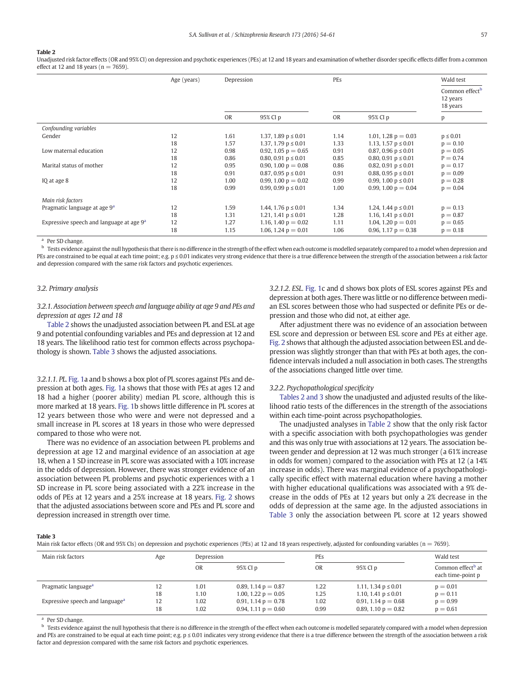#### Table 2

Unadjusted risk factor effects (OR and 95% CI) on depression and psychotic experiences (PEs) at 12 and 18 years and examination of whether disorder specific effects differ from a common effect at 12 and 18 years ( $n = 7659$ ).

|                                            | Age (years) | Depression |                            | PEs       |                            | Wald test                                          |
|--------------------------------------------|-------------|------------|----------------------------|-----------|----------------------------|----------------------------------------------------|
|                                            |             |            |                            |           |                            | Common effect <sup>b</sup><br>12 years<br>18 years |
|                                            |             | <b>OR</b>  | 95% CI p                   | <b>OR</b> | 95% CI p                   | p                                                  |
| Confounding variables                      |             |            |                            |           |                            |                                                    |
| Gender                                     | 12          | 1.61       | 1.37, 1.89 $p \le 0.01$    | 1.14      | 1.01, 1.28 $p = 0.03$      | $p \leq 0.01$                                      |
|                                            | 18          | 1.57       | 1.37, 1.79 $p \le 0.01$    | 1.33      | 1.13, 1.57 $p \le 0.01$    | $p = 0.10$                                         |
| Low maternal education                     | 12          | 0.98       | 0.92, 1.05 $p = 0.65$      | 0.91      | $0.87, 0.96$ p $\leq 0.01$ | $p = 0.05$                                         |
|                                            | 18          | 0.86       | 0.80, 0.91 $p \le 0.01$    | 0.85      | 0.80, 0.91 $p \le 0.01$    | $P = 0.74$                                         |
| Marital status of mother                   | 12          | 0.95       | 0.90, 1.00 $p = 0.08$      | 0.86      | 0.82, 0.91 $p \le 0.01$    | $p = 0.17$                                         |
|                                            | 18          | 0.91       | $0.87, 0.95$ p $\leq 0.01$ | 0.91      | 0.88, 0.95 $p \le 0.01$    | $p = 0.09$                                         |
| IQ at age 8                                | 12          | 1.00       | 0.99, 1.00 $p = 0.02$      | 0.99      | 0.99, 1.00 $p \le 0.01$    | $p = 0.28$                                         |
|                                            | 18          | 0.99       | 0.99, 0.99 $p \le 0.01$    | 1.00      | 0.99, 1.00 $p = 0.04$      | $p = 0.04$                                         |
| Main risk factors                          |             |            |                            |           |                            |                                                    |
| Pragmatic language at age 9 <sup>a</sup>   | 12          | 1.59       | 1.44, 1.76 $p \le 0.01$    | 1.34      | 1.24, 1.44 $p \le 0.01$    | $p = 0.13$                                         |
|                                            | 18          | 1.31       | 1.21, 1.41 $p \le 0.01$    | 1.28      | 1.16, 1.41 $p \le 0.01$    | $p = 0.87$                                         |
| Expressive speech and language at age $9a$ | 12          | 1.27       | 1.16, 1.40 $p = 0.02$      | 1.11      | 1.04, 1.20 $p = 0.01$      | $p = 0.65$                                         |
|                                            | 18          | 1.15       | 1.06, 1.24 $p = 0.01$      | 1.06      | 0.96, 1.17 $p = 0.38$      | $p = 0.18$                                         |

 $^{\text{a}}$  Per SD change.

Tests evidence against the null hypothesis that there is no difference in the strength of the effect when each outcome is modelled separately compared to a model when depression and PEs are constrained to be equal at each time point; e.g. p ≤ 0.01 indicates very strong evidence that there is a true difference between the strength of the association between a risk factor and depression compared with the same risk factors and psychotic experiences.

#### 3.2. Primary analysis

3.2.1. Association between speech and language ability at age 9 and PEs and depression at ages 12 and 18

Table 2 shows the unadjusted association between PL and ESL at age 9 and potential confounding variables and PEs and depression at 12 and 18 years. The likelihood ratio test for common effects across psychopathology is shown. Table 3 shows the adjusted associations.

3.2.1.1. PL. [Fig. 1](#page-4-0)a and b shows a box plot of PL scores against PEs and depression at both ages. [Fig. 1](#page-4-0)a shows that those with PEs at ages 12 and 18 had a higher (poorer ability) median PL score, although this is more marked at 18 years. [Fig. 1b](#page-4-0) shows little difference in PL scores at 12 years between those who were and were not depressed and a small increase in PL scores at 18 years in those who were depressed compared to those who were not.

There was no evidence of an association between PL problems and depression at age 12 and marginal evidence of an association at age 18, when a 1 SD increase in PL score was associated with a 10% increase in the odds of depression. However, there was stronger evidence of an association between PL problems and psychotic experiences with a 1 SD increase in PL score being associated with a 22% increase in the odds of PEs at 12 years and a 25% increase at 18 years. [Fig. 2](#page-4-0) shows that the adjusted associations between score and PEs and PL score and depression increased in strength over time.

3.2.1.2. ESL. [Fig. 1c](#page-4-0) and d shows box plots of ESL scores against PEs and depression at both ages. There was little or no difference between median ESL scores between those who had suspected or definite PEs or depression and those who did not, at either age.

After adjustment there was no evidence of an association between ESL score and depression or between ESL score and PEs at either age. [Fig. 2](#page-4-0) shows that although the adjusted association between ESL and depression was slightly stronger than that with PEs at both ages, the confidence intervals included a null association in both cases. The strengths of the associations changed little over time.

#### 3.2.2. Psychopathological specificity

Tables 2 and 3 show the unadjusted and adjusted results of the likelihood ratio tests of the differences in the strength of the associations within each time-point across psychopathologies.

The unadjusted analyses in Table 2 show that the only risk factor with a specific association with both psychopathologies was gender and this was only true with associations at 12 years. The association between gender and depression at 12 was much stronger (a 61% increase in odds for women) compared to the association with PEs at 12 (a 14% increase in odds). There was marginal evidence of a psychopathologically specific effect with maternal education where having a mother with higher educational qualifications was associated with a 9% decrease in the odds of PEs at 12 years but only a 2% decrease in the odds of depression at the same age. In the adjusted associations in Table 3 only the association between PL score at 12 years showed

Table 3

Main risk factor effects (OR and 95% CIs) on depression and psychotic experiences (PEs) at 12 and 18 years respectively, adjusted for confounding variables (n = 7659).

| Main risk factors                           | Age | Depression |                       | PEs       |                         | Wald test                                          |
|---------------------------------------------|-----|------------|-----------------------|-----------|-------------------------|----------------------------------------------------|
|                                             |     | OR         | 95% CI p              | <b>OR</b> | 95% CI p                | Common effect <sup>b</sup> at<br>each time-point p |
| Pragmatic language <sup>a</sup>             | 12  | 1.01       | 0.89, 1.14 $p = 0.87$ | 1.22      | 1.11, 1.34 $p \le 0.01$ | $p = 0.01$                                         |
|                                             | 18  | 1.10       | 1.00, 1.22 $p = 0.05$ | 1.25      | 1.10, 1.41 $p \le 0.01$ | $p = 0.11$                                         |
| Expressive speech and language <sup>a</sup> | 12  | 1.02       | 0.91, 1.14 $p = 0.78$ | 1.02      | 0.91, 1.14 $p = 0.68$   | $p = 0.99$                                         |
|                                             | 18  | 1.02       | 0.94, 1.11 $p = 0.60$ | 0.99      | 0.89, 1.10 $p = 0.82$   | $p = 0.61$                                         |

Per SD change.

**b** Tests evidence against the null hypothesis that there is no difference in the strength of the effect when each outcome is modelled separately compared with a model when depression and PEs are constrained to be equal at each time point; e.g.  $p \le 0.01$  indicates very strong evidence that there is a true difference between the strength of the association between a risk factor and depression compared with the same risk factors and psychotic experiences.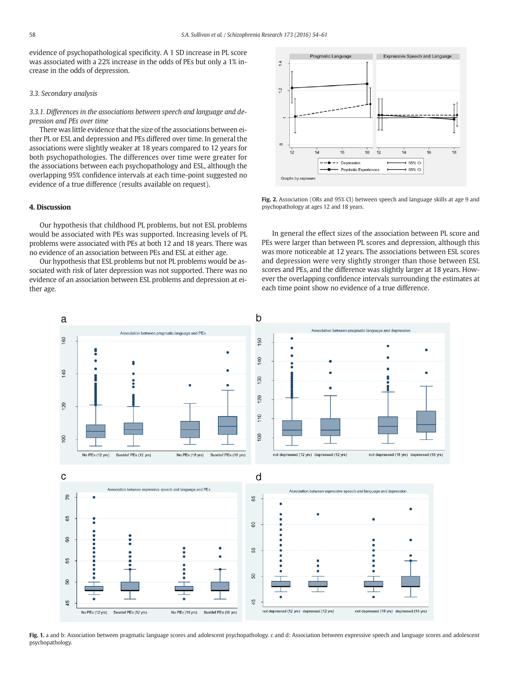<span id="page-4-0"></span>evidence of psychopathological specificity. A 1 SD increase in PL score was associated with a 22% increase in the odds of PEs but only a 1% increase in the odds of depression.

# 3.3. Secondary analysis

3.3.1. Differences in the associations between speech and language and depression and PEs over time

There was little evidence that the size of the associations between either PL or ESL and depression and PEs differed over time. In general the associations were slightly weaker at 18 years compared to 12 years for both psychopathologies. The differences over time were greater for the associations between each psychopathology and ESL, although the overlapping 95% confidence intervals at each time-point suggested no evidence of a true difference (results available on request).

# 4. Discussion

Our hypothesis that childhood PL problems, but not ESL problems would be associated with PEs was supported. Increasing levels of PL problems were associated with PEs at both 12 and 18 years. There was no evidence of an association between PEs and ESL at either age.

Our hypothesis that ESL problems but not PL problems would be associated with risk of later depression was not supported. There was no evidence of an association between ESL problems and depression at either age.



Fig. 2. Association (ORs and 95% CI) between speech and language skills at age 9 and psychopathology at ages 12 and 18 years.

In general the effect sizes of the association between PL score and PEs were larger than between PL scores and depression, although this was more noticeable at 12 years. The associations between ESL scores and depression were very slightly stronger than those between ESL scores and PEs, and the difference was slightly larger at 18 years. However the overlapping confidence intervals surrounding the estimates at each time point show no evidence of a true difference.



Fig. 1. a and b: Association between pragmatic language scores and adolescent psychopathology. c and d: Association between expressive speech and language scores and adolescent psychopathology.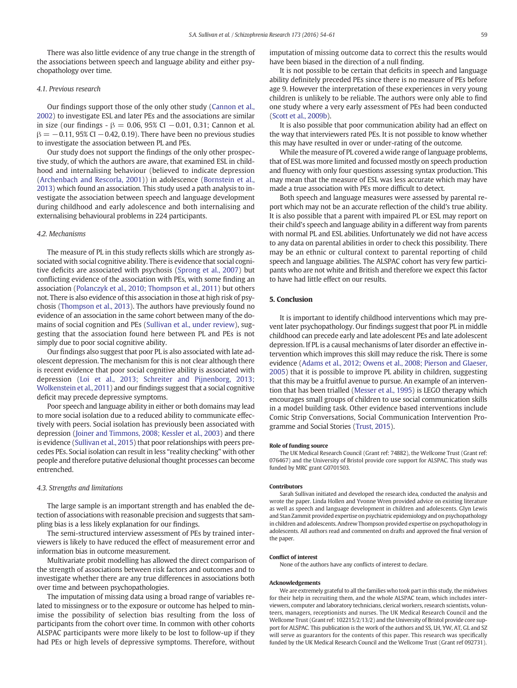There was also little evidence of any true change in the strength of the associations between speech and language ability and either psychopathology over time.

### 4.1. Previous research

Our findings support those of the only other study [\(Cannon et al.,](#page-6-0) [2002\)](#page-6-0) to investigate ESL and later PEs and the associations are similar in size (our findings -  $β = 0.06$ , 95% CI −0.01, 0.31; Cannon et al.  $\beta = -0.11$ , 95% CI −0.42, 0.19). There have been no previous studies to investigate the association between PL and PEs.

Our study does not support the findings of the only other prospective study, of which the authors are aware, that examined ESL in childhood and internalising behaviour (believed to indicate depression [\(Archenbach and Rescorla, 2001\)](#page-6-0)) in adolescence ([Bornstein et al.,](#page-6-0) [2013](#page-6-0)) which found an association. This study used a path analysis to investigate the association between speech and language development during childhood and early adolescence and both internalising and externalising behavioural problems in 224 participants.

### 4.2. Mechanisms

The measure of PL in this study reflects skills which are strongly associated with social cognitive ability. There is evidence that social cognitive deficits are associated with psychosis ([Sprong et al., 2007](#page-6-0)) but conflicting evidence of the association with PEs, with some finding an association [\(Polanczyk et al., 2010; Thompson et al., 2011\)](#page-6-0) but others not. There is also evidence of this association in those at high risk of psychosis [\(Thompson et al., 2013\)](#page-6-0). The authors have previously found no evidence of an association in the same cohort between many of the domains of social cognition and PEs ([Sullivan et al., under review](#page-6-0)), suggesting that the association found here between PL and PEs is not simply due to poor social cognitive ability.

Our findings also suggest that poor PL is also associated with late adolescent depression. The mechanism for this is not clear although there is recent evidence that poor social cognitive ability is associated with depression [\(Loi et al., 2013; Schreiter and Pijnenborg, 2013;](#page-6-0) [Wolkenstein et al., 2011](#page-6-0)) and our findings suggest that a social cognitive deficit may precede depressive symptoms.

Poor speech and language ability in either or both domains may lead to more social isolation due to a reduced ability to communicate effectively with peers. Social isolation has previously been associated with depression [\(Joiner and Timmons, 2008; Kessler et al., 2003](#page-6-0)) and there is evidence [\(Sullivan et al., 2015\)](#page-6-0) that poor relationships with peers precedes PEs. Social isolation can result in less "reality checking" with other people and therefore putative delusional thought processes can become entrenched.

#### 4.3. Strengths and limitations

The large sample is an important strength and has enabled the detection of associations with reasonable precision and suggests that sampling bias is a less likely explanation for our findings.

The semi-structured interview assessment of PEs by trained interviewers is likely to have reduced the effect of measurement error and information bias in outcome measurement.

Multivariate probit modelling has allowed the direct comparison of the strength of associations between risk factors and outcomes and to investigate whether there are any true differences in associations both over time and between psychopathologies.

The imputation of missing data using a broad range of variables related to missingness or to the exposure or outcome has helped to minimise the possibility of selection bias resulting from the loss of participants from the cohort over time. In common with other cohorts ALSPAC participants were more likely to be lost to follow-up if they had PEs or high levels of depressive symptoms. Therefore, without

imputation of missing outcome data to correct this the results would have been biased in the direction of a null finding.

It is not possible to be certain that deficits in speech and language ability definitely preceded PEs since there is no measure of PEs before age 9. However the interpretation of these experiences in very young children is unlikely to be reliable. The authors were only able to find one study where a very early assessment of PEs had been conducted [\(Scott et al., 2009b\)](#page-6-0).

It is also possible that poor communication ability had an effect on the way that interviewers rated PEs. It is not possible to know whether this may have resulted in over or under-rating of the outcome.

While the measure of PL covered a wide range of language problems, that of ESL was more limited and focussed mostly on speech production and fluency with only four questions assessing syntax production. This may mean that the measure of ESL was less accurate which may have made a true association with PEs more difficult to detect.

Both speech and language measures were assessed by parental report which may not be an accurate reflection of the child's true ability. It is also possible that a parent with impaired PL or ESL may report on their child's speech and language ability in a different way from parents with normal PL and ESL abilities. Unfortunately we did not have access to any data on parental abilities in order to check this possibility. There may be an ethnic or cultural context to parental reporting of child speech and language abilities. The ALSPAC cohort has very few participants who are not white and British and therefore we expect this factor to have had little effect on our results.

#### 5. Conclusion

It is important to identify childhood interventions which may prevent later psychopathology. Our findings suggest that poor PL in middle childhood can precede early and late adolescent PEs and late adolescent depression. If PL is a causal mechanisms of later disorder an effective intervention which improves this skill may reduce the risk. There is some evidence [\(Adams et al., 2012; Owens et al., 2008; Pierson and Glaeser,](#page-6-0) [2005\)](#page-6-0) that it is possible to improve PL ability in children, suggesting that this may be a fruitful avenue to pursue. An example of an intervention that has been trialled [\(Messer et al., 1995\)](#page-6-0) is LEGO therapy which encourages small groups of children to use social communication skills in a model building task. Other evidence based interventions include Comic Strip Conversations, Social Communication Intervention Programme and Social Stories [\(Trust, 2015\)](#page-6-0).

#### Role of funding source

The UK Medical Research Council (Grant ref: 74882), the Wellcome Trust (Grant ref: 076467) and the University of Bristol provide core support for ALSPAC. This study was funded by MRC grant G0701503.

#### Contributors

Sarah Sullivan initiated and developed the research idea, conducted the analysis and wrote the paper. Linda Hollen and Yvonne Wren provided advice on existing literature as well as speech and language development in children and adolescents. Glyn Lewis and Stan Zammit provided expertise on psychiatric epidemiology and on psychopathology in children and adolescents. Andrew Thompson provided expertise on psychopathology in adolescents. All authors read and commented on drafts and approved the final version of the paper.

#### Conflict of interest

None of the authors have any conflicts of interest to declare.

#### Acknowledgements

We are extremely grateful to all the families who took part in this study, the midwives for their help in recruiting them, and the whole ALSPAC team, which includes interviewers, computer and laboratory technicians, clerical workers, research scientists, volunteers, managers, receptionists and nurses. The UK Medical Research Council and the Wellcome Trust (Grant ref: 102215/2/13/2) and the University of Bristol provide core support for ALSPAC. This publication is the work of the authors and SS, LH, YW, AT, GL and SZ will serve as guarantors for the contents of this paper. This research was specifically funded by the UK Medical Research Council and the Wellcome Trust (Grant ref 092731).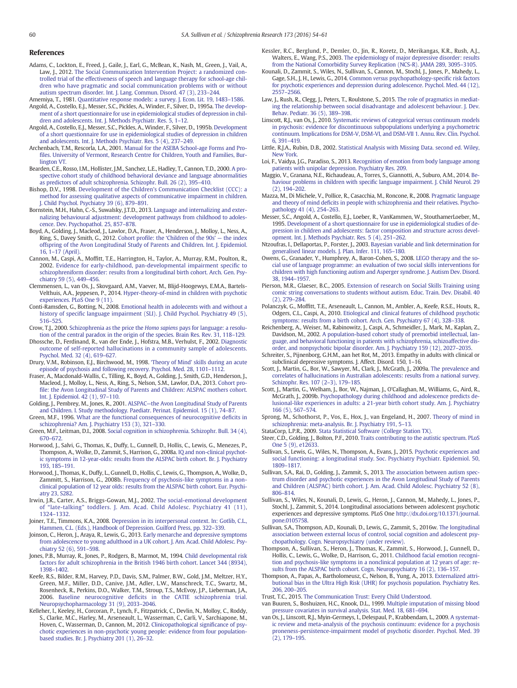# <span id="page-6-0"></span>References

- Adams, C., Lockton, E., Freed, J., Gaile, J., Earl, G., McBean, K., Nash, M., Green, J., Vail, A., Law, J., 2012. [The Social Communication Intervention Project: a randomized con](http://refhub.elsevier.com/S0920-9964(16)30100-1/rf0005)[trolled trial of the effectiveness of speech and language therapy for school-age chil](http://refhub.elsevier.com/S0920-9964(16)30100-1/rf0005)[dren who have pragmatic and social communication problems with or without](http://refhub.elsevier.com/S0920-9964(16)30100-1/rf0005) [autism spectrum disorder. Int. J. Lang. Commun. Disord. 47 \(3\), 233](http://refhub.elsevier.com/S0920-9964(16)30100-1/rf0005)–244.
- Amemiya, T., 1981. [Quantitative response models: a survey. J. Econ. Lit. 19, 1483](http://refhub.elsevier.com/S0920-9964(16)30100-1/rf0010)–1586. Angold, A., Costello, E.J., Messer, S.C., Pickles, A., Winder, F., Silver, D., 1995a. [The develop](http://refhub.elsevier.com/S0920-9964(16)30100-1/rf0015)[ment of a short questionnaire for use in epidemiological studies of depression in chil-](http://refhub.elsevier.com/S0920-9964(16)30100-1/rf0015)
- [dren and adolescents. Int. J. Methods Psychiatr. Res. 5, 1](http://refhub.elsevier.com/S0920-9964(16)30100-1/rf0015)–12. Angold, A., Costello, E.J., Messer, S.C., Pickles, A., Winder, F., Silver, D., 1995b. [Development](http://refhub.elsevier.com/S0920-9964(16)30100-1/rf0020) [of a short questionnaire for use in epidemiological studies of depression in children](http://refhub.elsevier.com/S0920-9964(16)30100-1/rf0020) [and adolescents. Int. J. Methods Psychiatr. Res. 5 \(4\), 237](http://refhub.elsevier.com/S0920-9964(16)30100-1/rf0020)–249.
- Archenbach, T.M., Rescorla, L.A., 2001. [Manual for the ASEBA School-age Forms and Pro](http://refhub.elsevier.com/S0920-9964(16)30100-1/rf0025)fi[les. University of Vermont, Research Centre for Children, Youth and Families, Bur](http://refhub.elsevier.com/S0920-9964(16)30100-1/rf0025)[lington VT](http://refhub.elsevier.com/S0920-9964(16)30100-1/rf0025).
- Bearden, C.E., Rosso, I.M., Hollister, J.M., Sanchez, L.E., Hadley, T., Cannon, T.D., 2000. [A pro](http://refhub.elsevier.com/S0920-9964(16)30100-1/rf0030)[spective cohort study of childhood behavioral deviance and language abnormalities](http://refhub.elsevier.com/S0920-9964(16)30100-1/rf0030) [as predictors of adult schizophrenia. Schizophr. Bull. 26 \(2\), 395](http://refhub.elsevier.com/S0920-9964(16)30100-1/rf0030)–410.
- Bishop, D.V., 1998. [Development of the Children's Communication Checklist \(CCC\): a](http://refhub.elsevier.com/S0920-9964(16)30100-1/rf0035) [method for assessing qualitative aspects of communicative impairment in children.](http://refhub.elsevier.com/S0920-9964(16)30100-1/rf0035) [J. Child Psychol. Psychiatry 39 \(6\), 879](http://refhub.elsevier.com/S0920-9964(16)30100-1/rf0035)–891.
- Bornstein, M.H., Hahn, C.-S., Suwalsky, J.T.D., 2013. [Language and internalizing and exter](http://refhub.elsevier.com/S0920-9964(16)30100-1/rf0045)[nalizing behavioural adjustment: development pathways from childhood to adoles](http://refhub.elsevier.com/S0920-9964(16)30100-1/rf0045)[cence. Dev. Psychopathol. 25, 857](http://refhub.elsevier.com/S0920-9964(16)30100-1/rf0045)–878.
- Boyd, A., Golding, J., Macleod, J., Lawlor, D.A., Fraser, A., Henderson, J., Molloy, L., Ness, A., Ring, S., Davey Smith, G., 2012. Cohort profile: the '[Children of the 90s](http://refhub.elsevier.com/S0920-9964(16)30100-1/rf0050)' — the index [offspring of the Avon Longitudinal Study of Parents and Children. Int. J. Epidemiol.](http://refhub.elsevier.com/S0920-9964(16)30100-1/rf0050) 16, 1–[17 \(April\)](http://refhub.elsevier.com/S0920-9964(16)30100-1/rf0050).
- Cannon, M., Caspi, A., Moffitt, T.E., Harrington, H., Taylor, A., Murray, R.M., Poulton, R., 2002. [Evidence for early-childhood, pan-developmental impairment speci](http://refhub.elsevier.com/S0920-9964(16)30100-1/rf0055)fic to [schizophreniform disorder: results from a longitudinal birth cohort. Arch. Gen. Psy](http://refhub.elsevier.com/S0920-9964(16)30100-1/rf0055)[chiatry 59 \(5\), 449](http://refhub.elsevier.com/S0920-9964(16)30100-1/rf0055)–456.
- Clemmensen, L., van Os, J., Skovgaard, A.M., Vaever, M., Blijd-Hoogewys, E.M.A., Bartels-Velthuis, A.A., Jeppesen, P., 2014. [Hyper-theory-of-mind in children with psychotic](http://refhub.elsevier.com/S0920-9964(16)30100-1/rf0060) [experiences. PLoS One 9 \(11\)](http://refhub.elsevier.com/S0920-9964(16)30100-1/rf0060).
- Conti-Ramsden, G., Botting, N., 2008. [Emotional health in adolecents with and without a](http://refhub.elsevier.com/S0920-9964(16)30100-1/rf0065) history of specifi[c language impairment \(SLI\). J. Child Psychol. Psychiatry 49 \(5\),](http://refhub.elsevier.com/S0920-9964(16)30100-1/rf0065) 516–[525.](http://refhub.elsevier.com/S0920-9964(16)30100-1/rf0065)
- Crow, T.J., 2000. [Schizophrenia as the price the](http://refhub.elsevier.com/S0920-9964(16)30100-1/rf0070) Homo sapiens pays for language: a resolu[tion of the central paradox in the origin of the species. Brain Res. Rev. 31, 118](http://refhub.elsevier.com/S0920-9964(16)30100-1/rf0070)–129.
- Dhossche, D., Ferdinand, R., van der Ende, J., Hofstra, M.B., Verhulst, F., 2002. [Diagnostic](http://refhub.elsevier.com/S0920-9964(16)30100-1/rf0075) [outcome of self-reported hallucinations in a community sample of adolescents.](http://refhub.elsevier.com/S0920-9964(16)30100-1/rf0075) [Psychol. Med. 32 \(4\), 619](http://refhub.elsevier.com/S0920-9964(16)30100-1/rf0075)–627.
- Drury, V.M., Robinson, E.J., Birchwood, M., 1998. 'Theory of Mind' [skills during an acute](http://refhub.elsevier.com/S0920-9964(16)30100-1/rf0080) [episode of psychosis and following recovery. Psychol. Med. 28, 1101](http://refhub.elsevier.com/S0920-9964(16)30100-1/rf0080)–1112.
- Fraser, A., Macdonald-Wallis, C., Tilling, K., Boyd, A., Golding, J., Smith, G.D., Henderson, J., Macleod, J., Molloy, L., Ness, A., Ring, S., Nelson, S.M., Lawlor, D.A., 2013. [Cohort pro](http://refhub.elsevier.com/S0920-9964(16)30100-1/rf0085)fi[le: the Avon Longitudinal Study of Parents and Children: ALSPAC mothers cohort.](http://refhub.elsevier.com/S0920-9964(16)30100-1/rf0085) [Int. J. Epidemiol. 42 \(1\), 97](http://refhub.elsevier.com/S0920-9964(16)30100-1/rf0085)–110.
- Golding, J., Pembrey, M., Jones, R., 2001. ALSPAC—[the Avon Longitudinal Study of Parents](http://refhub.elsevier.com/S0920-9964(16)30100-1/rf0090) [and Children. I. Study methodology. Paediatr. Perinat. Epidemiol. 15 \(1\), 74](http://refhub.elsevier.com/S0920-9964(16)30100-1/rf0090)–87.
- Green, M.F., 1996. [What are the functional consequences of neurocognitive de](http://refhub.elsevier.com/S0920-9964(16)30100-1/rf0095)ficits in [schizophrenia? Am. J. Psychiatry 153 \(3\), 321](http://refhub.elsevier.com/S0920-9964(16)30100-1/rf0095)–330.
- Green, M.F., Leitman, D.I., 2008. [Social cognition in schizophrenia. Schizophr. Bull. 34 \(4\),](http://refhub.elsevier.com/S0920-9964(16)30100-1/rf0100) 670–[672.](http://refhub.elsevier.com/S0920-9964(16)30100-1/rf0100)
- Horwood, J., Salvi, G., Thomas, K., Duffy, L., Gunnell, D., Hollis, C., Lewis, G., Menezes, P., Thompson, A., Wolke, D., Zammit, S., Harrison, G., 2008a. [IQ and non-clinical psychot](http://refhub.elsevier.com/S0920-9964(16)30100-1/rf0110)[ic symptoms in 12-year-olds: results from the ALSPAC birth cohort. Br. J. Psychiatry](http://refhub.elsevier.com/S0920-9964(16)30100-1/rf0110) [193, 185](http://refhub.elsevier.com/S0920-9964(16)30100-1/rf0110)–191.
- Horwood, J., Thomas, K., Duffy, L., Gunnell, D., Hollis, C., Lewis, G., Thompson, A., Wolke, D., Zammitt, S., Harrison, G., 2008b. [Frequency of psychosis-like symptoms in a non](http://refhub.elsevier.com/S0920-9964(16)30100-1/rf0115)[clinical population of 12 year olds: results from the ALSPAC birth cohort. Eur. Psychi](http://refhub.elsevier.com/S0920-9964(16)30100-1/rf0115)[atry 23, S282](http://refhub.elsevier.com/S0920-9964(16)30100-1/rf0115).
- Irwin, J.R., Carter, A.S., Briggs-Gowan, M.J., 2002. [The social-emotional development](http://refhub.elsevier.com/S0920-9964(16)30100-1/rf0120) of "late-talking" [toddlers. J. Am. Acad. Child Adolesc. Psychiatry 41 \(11\),](http://refhub.elsevier.com/S0920-9964(16)30100-1/rf0120) 1324–[1332](http://refhub.elsevier.com/S0920-9964(16)30100-1/rf0120).
- Joiner, T.E., Timmons, K.A., 2008. [Depression in its interpersonal context. In: Gotlib, C.L.,](http://refhub.elsevier.com/S0920-9964(16)30100-1/rf0125) [Hammen, C.L. \(Eds.\), Handbook of Depression. Guilford Press, pp. 322](http://refhub.elsevier.com/S0920-9964(16)30100-1/rf0125)–339.
- Joinson, C., Heron, J., Araya, R., Lewis, G., 2013. [Early menarche and depressive symptoms](http://refhub.elsevier.com/S0920-9964(16)30100-1/rf0130) [from adolescence to young adulthood in a UK cohort. J. Am. Acad. Child Adolesc. Psy](http://refhub.elsevier.com/S0920-9964(16)30100-1/rf0130)[chiatry 52 \(6\), 591](http://refhub.elsevier.com/S0920-9964(16)30100-1/rf0130)–598.
- Jones, P.B., Murray, R., Jones, P., Rodgers, B., Marmot, M., 1994. [Child developmental risk](http://refhub.elsevier.com/S0920-9964(16)30100-1/rf0135) [factors for adult schizophrenia in the British 1946 birth cohort. Lancet 344 \(8934\),](http://refhub.elsevier.com/S0920-9964(16)30100-1/rf0135) 1398–[1402.](http://refhub.elsevier.com/S0920-9964(16)30100-1/rf0135)
- Keefe, R.S., Bilder, R.M., Harvey, P.D., Davis, S.M., Palmer, B.W., Gold, J.M., Meltzer, H.Y., Green, M.F., Miller, D.D., Canive, J.M., Adler, L.W., Manschreck, T.C., Swartz, M., Rosenheck, R., Perkins, D.O., Walker, T.M., Stroup, T.S., McEvoy, J.P., Lieberman, J.A., 2006. Baseline neurocognitive defi[cits in the CATIE schizophrenia trial.](http://refhub.elsevier.com/S0920-9964(16)30100-1/rf0140) [Neuropsychopharmacology 31 \(9\), 2033](http://refhub.elsevier.com/S0920-9964(16)30100-1/rf0140)–2046.
- Kelleher, I., Keeley, H., Corcoran, P., Lynch, F., Fitzpatrick, C., Devlin, N., Molloy, C., Roddy, S., Clarke, M.C., Harley, M., Arseneault, L., Wasserman, C., Carli, V., Sarchiapone, M., Hoven, C., Wasserman, D., Cannon, M., 2012. [Clinicopathological signi](http://refhub.elsevier.com/S0920-9964(16)30100-1/rf0145)ficance of psy[chotic experiences in non-psychotic young people: evidence from four population](http://refhub.elsevier.com/S0920-9964(16)30100-1/rf0145)[based studies. Br. J. Psychiatry 201 \(1\), 26](http://refhub.elsevier.com/S0920-9964(16)30100-1/rf0145)–32.
- Kessler, R.C., Berglund, P., Demler, O., Jin, R., Koretz, D., Merikangas, K.R., Rush, A.J., Walters, E., Wang, P.S., 2003. [The epidemiology of major depressive disorder: results](http://refhub.elsevier.com/S0920-9964(16)30100-1/rf0150) [from the National Comorbidity Survey Replication \(NCS-R\). JAMA 289, 3095](http://refhub.elsevier.com/S0920-9964(16)30100-1/rf0150)–3105.
- Kounali, D., Zammit, S., Wiles, N., Sullivan, S., Cannon, M., Stochl, J., Jones, P., Mahedy, L., Gage, S.H., J, H., Lewis, G., 2014. Common versus [psychopathology-speci](http://refhub.elsevier.com/S0920-9964(16)30100-1/rf0155)fic risk factors [for psychotic experiences and depression during adolescence. Psychol. Med. 44 \(12\),](http://refhub.elsevier.com/S0920-9964(16)30100-1/rf0155) 2557–[2566.](http://refhub.elsevier.com/S0920-9964(16)30100-1/rf0155)
- Law, J., Rush, R., Clegg, J., Peters, T., Roulstone, S., 2015. [The role of pragmatics in mediat](http://refhub.elsevier.com/S0920-9964(16)30100-1/rf0160)[ing the relationship between social disadvantage and adolescent behaviour. J. Dev.](http://refhub.elsevier.com/S0920-9964(16)30100-1/rf0160) [Behav. Pediatr. 36 \(5\), 389](http://refhub.elsevier.com/S0920-9964(16)30100-1/rf0160)–398.
- Linscott, R.J., van Os, J., 2010. [Systematic reviews of categorical versus continuum models](http://refhub.elsevier.com/S0920-9964(16)30100-1/rf0165) [in psychosis: evidence for discontinuous subpopulations underlying a psychometric](http://refhub.elsevier.com/S0920-9964(16)30100-1/rf0165) [continuum. Implications for DSM-V, DSM-VI, and DSM-VII 1. Annu. Rev. Clin. Psychol.](http://refhub.elsevier.com/S0920-9964(16)30100-1/rf0165) [6, 391](http://refhub.elsevier.com/S0920-9964(16)30100-1/rf0165)–419.
- Little, R.J.A., Rubin, D.B., 2002. [Statistical Analysis with Missing Data. second ed. Wiley,](http://refhub.elsevier.com/S0920-9964(16)30100-1/rf0170) [New York.](http://refhub.elsevier.com/S0920-9964(16)30100-1/rf0170)
- Loi, F., Vaidya, J.G., Paradiso, S., 2013. [Recognition of emotion from body language among](http://refhub.elsevier.com/S0920-9964(16)30100-1/rf0175) [patients with unipolar depression. Psychiatry Res. 209.](http://refhub.elsevier.com/S0920-9964(16)30100-1/rf0175)
- Maggio, V., Granana, N.E., Richaudeau, A., Torres, S., Giannotti, A., Suburo, A.M., 2014. [Be](http://refhub.elsevier.com/S0920-9964(16)30100-1/rf0180)haviour problems in children with specifi[c language impairment. J. Child Neurol. 29](http://refhub.elsevier.com/S0920-9964(16)30100-1/rf0180) [\(2\), 194](http://refhub.elsevier.com/S0920-9964(16)30100-1/rf0180)–202.
- Mazza, M., Di Michele, V., Pollice, R., Casacchia, M., Roncone, R., 2008. [Pragmatic language](http://refhub.elsevier.com/S0920-9964(16)30100-1/rf0185) and theory of mind defi[cits in people with schizophrenia and their relatives. Psycho](http://refhub.elsevier.com/S0920-9964(16)30100-1/rf0185)[pathology 41 \(4\), 254](http://refhub.elsevier.com/S0920-9964(16)30100-1/rf0185)–263.
- Messer, S.C., Angold, A., Costello, E.J., Loeber, R., VanKammen, W., StouthamerLoeber, M., 1995. [Development of a short questionnaire for use in epidemiological studies of de](http://refhub.elsevier.com/S0920-9964(16)30100-1/rf0190)[pression in children and adolescents: factor composition and structure across devel](http://refhub.elsevier.com/S0920-9964(16)30100-1/rf0190)[opment. Int. J. Methods Psychiatr. Res. 5 \(4\), 251](http://refhub.elsevier.com/S0920-9964(16)30100-1/rf0190)–262.
- Ntzoufras, I., Dellaportas, P., Forster, J., 2003. [Bayesian variable and link determination for](http://refhub.elsevier.com/S0920-9964(16)30100-1/rf0195) [generalised linear models. J. Plan. Infer. 111, 165](http://refhub.elsevier.com/S0920-9964(16)30100-1/rf0195)–180.
- Owens, G., Granader, Y., Humphrey, A., Baron-Cohen, S., 2008. [LEGO therapy and the so](http://refhub.elsevier.com/S0920-9964(16)30100-1/rf0200)[cial use of language programme: an evaluation of two social skills interventions for](http://refhub.elsevier.com/S0920-9964(16)30100-1/rf0200) [children with high functioning autism and Asperger syndrome. J. Autism Dev. Disord.](http://refhub.elsevier.com/S0920-9964(16)30100-1/rf0200) [38, 1944](http://refhub.elsevier.com/S0920-9964(16)30100-1/rf0200)–1957.
- Pierson, M.R., Glaeser, B.C., 2005. [Extension of research on Social Skills Training using](http://refhub.elsevier.com/S0920-9964(16)30100-1/rf0205) [comic string conversations to students without autism. Educ. Train. Dev. Disabil. 40](http://refhub.elsevier.com/S0920-9964(16)30100-1/rf0205) [\(2\), 279](http://refhub.elsevier.com/S0920-9964(16)30100-1/rf0205)–284.
- Polanczyk, G., Moffitt, T.E., Arseneault, L., Cannon, M., Ambler, A., Keefe, R.S.E., Houts, R., Odgers, C.L., Caspi, A., 2010. [Etiological and clinical features of childhood psychotic](http://refhub.elsevier.com/S0920-9964(16)30100-1/rf0210) [symptoms: results from a birth cohort. Arch. Gen. Psychiatry 67 \(4\), 328](http://refhub.elsevier.com/S0920-9964(16)30100-1/rf0210)–338.
- Reichenberg, A., Weiser, M., Rabinowitz, J., Caspi, A., Schmeidler, J., Mark, M., Kaplan, Z., Davidson, M., 2002. [A population-based cohort study of premorbid intellectual, lan](http://refhub.elsevier.com/S0920-9964(16)30100-1/rf0215)[guage, and behavioral functioning in patients with schizophrenia, schizoaffective dis](http://refhub.elsevier.com/S0920-9964(16)30100-1/rf0215)[order, and nonpsychotic bipolar disorder. Am. J. Psychiatry 159 \(12\), 2027](http://refhub.elsevier.com/S0920-9964(16)30100-1/rf0215)–2035.
- Schreiter, S., Pijnenborg, G.H.M., aan het Rot, M., 2013. Empathy in adults with clinical or subclinical depressive symptoms. J. Affect. Disord. 150, 1–16.
- Scott, J., Martin, G., Bor, W., Sawyer, M., Clark, J., McGrath, J., 2009a. [The prevalence and](http://refhub.elsevier.com/S0920-9964(16)30100-1/rf0220) [correlates of hallucinations in Australian adolescents: results from a national survey.](http://refhub.elsevier.com/S0920-9964(16)30100-1/rf0220) [Schizophr. Res. 107 \(2](http://refhub.elsevier.com/S0920-9964(16)30100-1/rf0220)–3), 179–185.
- Scott, J., Martin, G., Welham, J., Bor, W., Najman, J., O'Callaghan, M., Williams, G., Aird, R., McGrath, J., 2009b. [Psychopathology during childhood and adolescence predicts de](http://refhub.elsevier.com/S0920-9964(16)30100-1/rf0225)[lusional-like experiences in adults: a 21-year birth cohort study. Am. J. Psychiatry](http://refhub.elsevier.com/S0920-9964(16)30100-1/rf0225) [166 \(5\), 567](http://refhub.elsevier.com/S0920-9964(16)30100-1/rf0225)–574.
- Sprong, M., Schothorst, P., Vos, E., Hox, J., van Engeland, H., 2007. [Theory of mind in](http://refhub.elsevier.com/S0920-9964(16)30100-1/rf0230) [schizophrenia: meta-analysis. Br. J. Psychiatry 191, 5](http://refhub.elsevier.com/S0920-9964(16)30100-1/rf0230)–13.

StataCorp, L.P.R., 2009. [Stata Statistical Software \(College Station TX\).](http://refhub.elsevier.com/S0920-9964(16)30100-1/rf0235)

- Steer, C.D., Golding, J., Bolton, P.F., 2010. [Traits contributing to the autistic spectrum. PLoS](http://refhub.elsevier.com/S0920-9964(16)30100-1/rf0240) [One 5 \(9\), e12633.](http://refhub.elsevier.com/S0920-9964(16)30100-1/rf0240)
- Sullivan, S., Lewis, G., Wiles, N., Thompson, A., Evans, J., 2015. [Psychotic experiences and](http://refhub.elsevier.com/S0920-9964(16)30100-1/rf0245) [social functioning: a longitudinal study. Soc. Psychiatry Psychiatr. Epidemiol. 50,](http://refhub.elsevier.com/S0920-9964(16)30100-1/rf0245) 1809–[1817.](http://refhub.elsevier.com/S0920-9964(16)30100-1/rf0245)
- Sullivan, S.A., Rai, D., Golding, J., Zammit, S., 2013. [The association between autism spec](http://refhub.elsevier.com/S0920-9964(16)30100-1/rf0250)[trum disorder and psychotic experiences in the Avon Longitudinal Study of Parents](http://refhub.elsevier.com/S0920-9964(16)30100-1/rf0250) [and Children \(ALSPAC\) birth cohort. J. Am. Acad. Child Adolesc. Psychiatry 52 \(8\),](http://refhub.elsevier.com/S0920-9964(16)30100-1/rf0250) 806–[814.](http://refhub.elsevier.com/S0920-9964(16)30100-1/rf0250)
- Sullivan, S., Wiles, N., Kounali, D., Lewis, G., Heron, J., Cannon, M., Mahedy, L., Jones, P., Stochl, J., Zammit, S., 2014. Longitudinal associations between adolescent psychotic experiences and depressive symptoms. PLoS One http://dx.doi.org/[10.1371/journal.](http://dx.doi.org/10.1371/journal.pone.0105758) [pone.0105758](http://dx.doi.org/10.1371/journal.pone.0105758).
- Sullivan, S.A., Thompson, A.D., Kounali, D., Lewis, G., Zammit, S., 2016w. [The longitudinal](http://refhub.elsevier.com/S0920-9964(16)30100-1/rf9000) [association between external locus of control, social cognition and adolescent psy](http://refhub.elsevier.com/S0920-9964(16)30100-1/rf9000)[chopathology. Cogn. Neuropsychiatry \(under review\)](http://refhub.elsevier.com/S0920-9964(16)30100-1/rf9000).
- Thompson, A., Sullivan, S., Heron, J., Thomas, K., Zammit, S., Horwood, J., Gunnell, D., Hollis, C., Lewis, G., Wolke, D., Harrison, G., 2011. [Childhood facial emotion recogni](http://refhub.elsevier.com/S0920-9964(16)30100-1/rf0260)[tion and psychosis-like symptoms in a nonclinical population at 12 years of age: re](http://refhub.elsevier.com/S0920-9964(16)30100-1/rf0260)[sults from the ALSPAC birth cohort. Cogn. Neuropsychiatry 16 \(2\), 136](http://refhub.elsevier.com/S0920-9964(16)30100-1/rf0260)–157.
- Thompson, A., Papas, A., Bartholomeusz, C., Nelson, B., Yung, A., 2013. [Externalized attri](http://refhub.elsevier.com/S0920-9964(16)30100-1/rf0270)[butional bias in the Ultra High Risk \(UHR\) for psychosis population. Psychiatry Res.](http://refhub.elsevier.com/S0920-9964(16)30100-1/rf0270) [206, 200](http://refhub.elsevier.com/S0920-9964(16)30100-1/rf0270)–205.
- Trust, T.C., 2015. [The Communication Trust: Every Child Understood.](http://refhub.elsevier.com/S0920-9964(16)30100-1/rf0275)
- van Buuren, S., Boshuizen, H.C., Knook, D.L., 1999. [Multiple imputation of missing blood](http://refhub.elsevier.com/S0920-9964(16)30100-1/rf0280) [pressure covariates in survival analysis. Stat. Med. 18, 681](http://refhub.elsevier.com/S0920-9964(16)30100-1/rf0280)–694.
- van Os, J., Linscott, R.J., Myin-Germeys, I., Delespaul, P., Krabbendam, L., 2009. [A systemat](http://refhub.elsevier.com/S0920-9964(16)30100-1/rf0285)[ic review and meta-analysis of the psychosis continuum: evidence for a psychosis](http://refhub.elsevier.com/S0920-9964(16)30100-1/rf0285) [proneness-persistence-impairment model of psychotic disorder. Psychol. Med. 39](http://refhub.elsevier.com/S0920-9964(16)30100-1/rf0285) [\(2\), 179](http://refhub.elsevier.com/S0920-9964(16)30100-1/rf0285)–195.